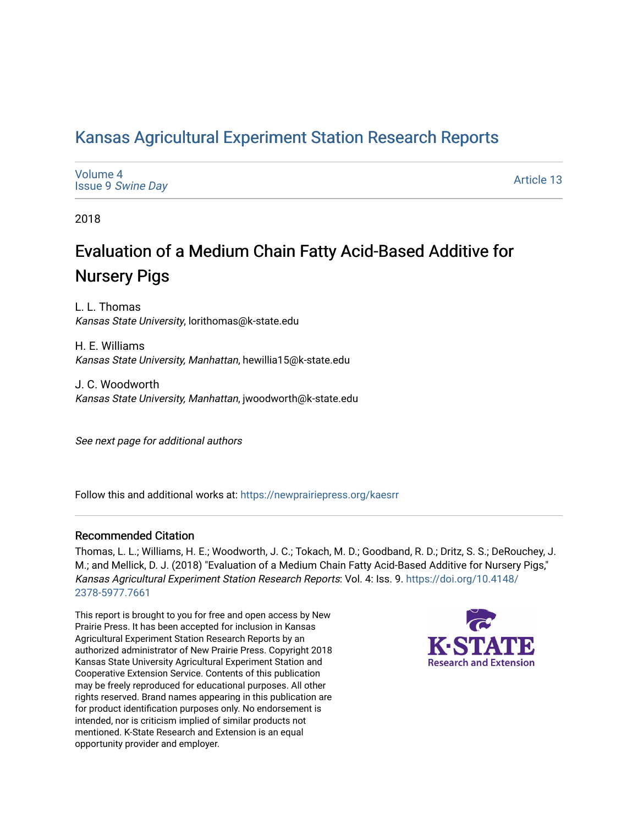# [Kansas Agricultural Experiment Station Research Reports](https://newprairiepress.org/kaesrr)

| Volume 4                 |  |
|--------------------------|--|
| <b>Issue 9 Swine Day</b> |  |

[Article 13](https://newprairiepress.org/kaesrr/vol4/iss9/13) 

2018

# Evaluation of a Medium Chain Fatty Acid-Based Additive for Nursery Pigs

L. L. Thomas Kansas State University, lorithomas@k-state.edu

H. E. Williams Kansas State University, Manhattan, hewillia15@k-state.edu

J. C. Woodworth Kansas State University, Manhattan, jwoodworth@k-state.edu

See next page for additional authors

Follow this and additional works at: [https://newprairiepress.org/kaesrr](https://newprairiepress.org/kaesrr?utm_source=newprairiepress.org%2Fkaesrr%2Fvol4%2Fiss9%2F13&utm_medium=PDF&utm_campaign=PDFCoverPages) 

### Recommended Citation

Thomas, L. L.; Williams, H. E.; Woodworth, J. C.; Tokach, M. D.; Goodband, R. D.; Dritz, S. S.; DeRouchey, J. M.; and Mellick, D. J. (2018) "Evaluation of a Medium Chain Fatty Acid-Based Additive for Nursery Pigs," Kansas Agricultural Experiment Station Research Reports: Vol. 4: Iss. 9. [https://doi.org/10.4148/](https://doi.org/10.4148/2378-5977.7661) [2378-5977.7661](https://doi.org/10.4148/2378-5977.7661) 

This report is brought to you for free and open access by New Prairie Press. It has been accepted for inclusion in Kansas Agricultural Experiment Station Research Reports by an authorized administrator of New Prairie Press. Copyright 2018 Kansas State University Agricultural Experiment Station and Cooperative Extension Service. Contents of this publication may be freely reproduced for educational purposes. All other rights reserved. Brand names appearing in this publication are for product identification purposes only. No endorsement is intended, nor is criticism implied of similar products not mentioned. K-State Research and Extension is an equal opportunity provider and employer.

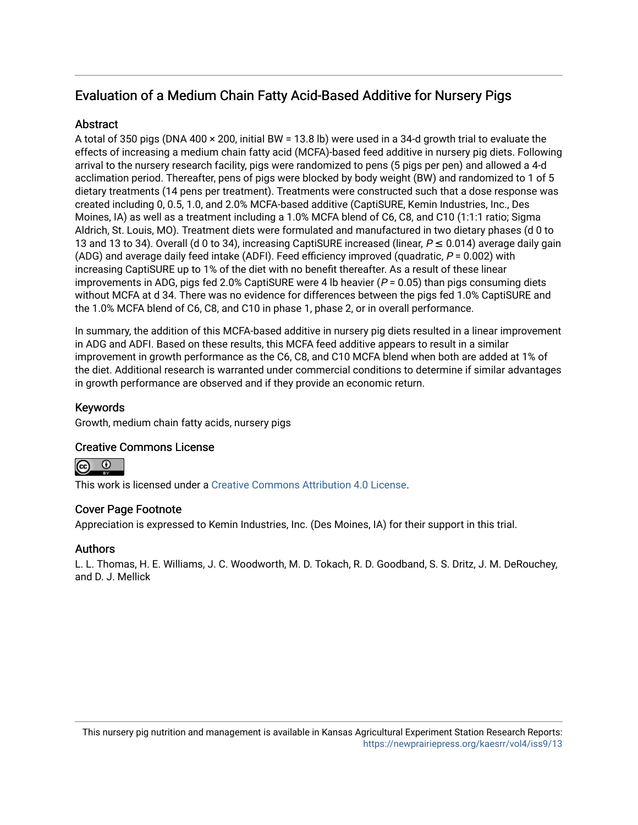# Evaluation of a Medium Chain Fatty Acid-Based Additive for Nursery Pigs

## Abstract

A total of 350 pigs (DNA 400 × 200, initial BW = 13.8 lb) were used in a 34-d growth trial to evaluate the effects of increasing a medium chain fatty acid (MCFA)-based feed additive in nursery pig diets. Following arrival to the nursery research facility, pigs were randomized to pens (5 pigs per pen) and allowed a 4-d acclimation period. Thereafter, pens of pigs were blocked by body weight (BW) and randomized to 1 of 5 dietary treatments (14 pens per treatment). Treatments were constructed such that a dose response was created including 0, 0.5, 1.0, and 2.0% MCFA-based additive (CaptiSURE, Kemin Industries, Inc., Des Moines, IA) as well as a treatment including a 1.0% MCFA blend of C6, C8, and C10 (1:1:1 ratio; Sigma Aldrich, St. Louis, MO). Treatment diets were formulated and manufactured in two dietary phases (d 0 to 13 and 13 to 34). Overall (d 0 to 34), increasing CaptiSURE increased (linear,  $P \le 0.014$ ) average daily gain (ADG) and average daily feed intake (ADFI). Feed efficiency improved (quadratic,  $P = 0.002$ ) with increasing CaptiSURE up to 1% of the diet with no benefit thereafter. As a result of these linear improvements in ADG, pigs fed 2.0% CaptiSURE were 4 lb heavier ( $P = 0.05$ ) than pigs consuming diets without MCFA at d 34. There was no evidence for differences between the pigs fed 1.0% CaptiSURE and the 1.0% MCFA blend of C6, C8, and C10 in phase 1, phase 2, or in overall performance.

In summary, the addition of this MCFA-based additive in nursery pig diets resulted in a linear improvement in ADG and ADFI. Based on these results, this MCFA feed additive appears to result in a similar improvement in growth performance as the C6, C8, and C10 MCFA blend when both are added at 1% of the diet. Additional research is warranted under commercial conditions to determine if similar advantages in growth performance are observed and if they provide an economic return.

## Keywords

Growth, medium chain fatty acids, nursery pigs

### Creative Commons License

This work is licensed under a [Creative Commons Attribution 4.0 License](https://creativecommons.org/licenses/by/4.0/).

### Cover Page Footnote

Appreciation is expressed to Kemin Industries, Inc. (Des Moines, IA) for their support in this trial.

### Authors

L. L. Thomas, H. E. Williams, J. C. Woodworth, M. D. Tokach, R. D. Goodband, S. S. Dritz, J. M. DeRouchey, and D. J. Mellick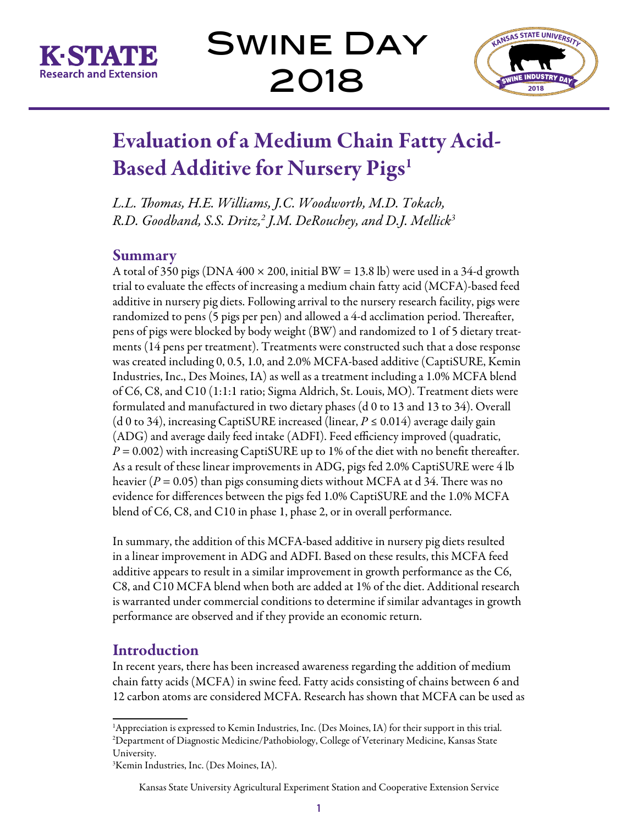

Swine Day 2018



# Evaluation of a Medium Chain Fatty Acid-Based Additive for Nursery Pigs<sup>1</sup>

*L.L. Thomas, H.E. Williams, J.C. Woodworth, M.D. Tokach, R.D. Goodband, S.S. Dritz,2 J.M. DeRouchey, and D.J. Mellick3*

# Summary

A total of 350 pigs (DNA  $400 \times 200$ , initial BW = 13.8 lb) were used in a 34-d growth trial to evaluate the effects of increasing a medium chain fatty acid (MCFA)-based feed additive in nursery pig diets. Following arrival to the nursery research facility, pigs were randomized to pens (5 pigs per pen) and allowed a 4-d acclimation period. Thereafter, pens of pigs were blocked by body weight (BW) and randomized to 1 of 5 dietary treatments (14 pens per treatment). Treatments were constructed such that a dose response was created including 0, 0.5, 1.0, and 2.0% MCFA-based additive (CaptiSURE, Kemin Industries, Inc., Des Moines, IA) as well as a treatment including a 1.0% MCFA blend of C6, C8, and C10 (1:1:1 ratio; Sigma Aldrich, St. Louis, MO). Treatment diets were formulated and manufactured in two dietary phases (d 0 to 13 and 13 to 34). Overall (d 0 to 34), increasing CaptiSURE increased (linear,  $P \le 0.014$ ) average daily gain (ADG) and average daily feed intake (ADFI). Feed efficiency improved (quadratic,  $P = 0.002$ ) with increasing CaptiSURE up to 1% of the diet with no benefit thereafter. As a result of these linear improvements in ADG, pigs fed 2.0% CaptiSURE were 4 lb heavier ( $P = 0.05$ ) than pigs consuming diets without MCFA at d 34. There was no evidence for differences between the pigs fed 1.0% CaptiSURE and the 1.0% MCFA blend of C6, C8, and C10 in phase 1, phase 2, or in overall performance.

In summary, the addition of this MCFA-based additive in nursery pig diets resulted in a linear improvement in ADG and ADFI. Based on these results, this MCFA feed additive appears to result in a similar improvement in growth performance as the C6, C8, and C10 MCFA blend when both are added at 1% of the diet. Additional research is warranted under commercial conditions to determine if similar advantages in growth performance are observed and if they provide an economic return.

# **Introduction**

In recent years, there has been increased awareness regarding the addition of medium chain fatty acids (MCFA) in swine feed. Fatty acids consisting of chains between 6 and 12 carbon atoms are considered MCFA. Research has shown that MCFA can be used as

<sup>&</sup>lt;sup>1</sup>Appreciation is expressed to Kemin Industries, Inc. (Des Moines, IA) for their support in this trial. 2 Department of Diagnostic Medicine/Pathobiology, College of Veterinary Medicine, Kansas State University.

<sup>3</sup> Kemin Industries, Inc. (Des Moines, IA).

Kansas State University Agricultural Experiment Station and Cooperative Extension Service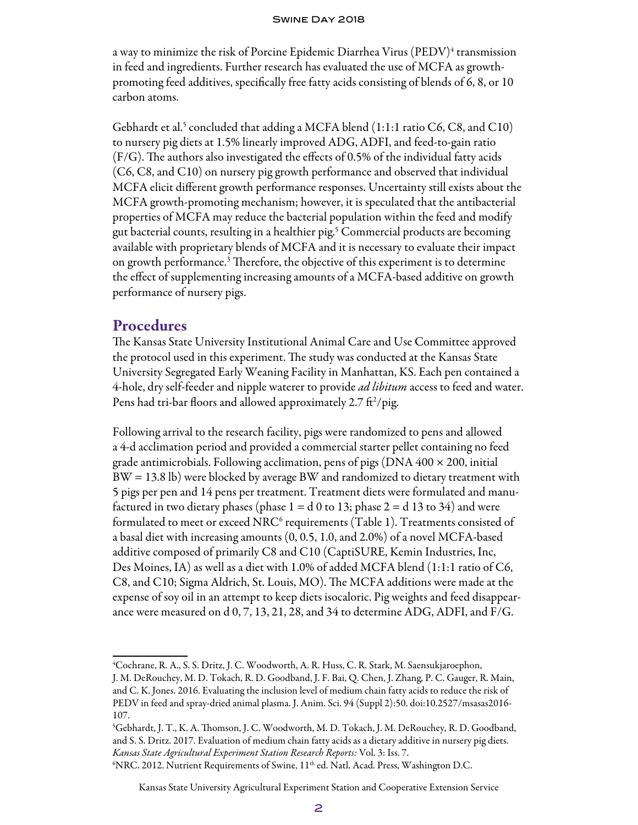a way to minimize the risk of Porcine Epidemic Diarrhea Virus (PEDV) $^4$  transmission in feed and ingredients. Further research has evaluated the use of MCFA as growthpromoting feed additives, specifically free fatty acids consisting of blends of 6, 8, or 10 carbon atoms.

Gebhardt et al.<sup>5</sup> concluded that adding a MCFA blend  $(1:1:1$  ratio C6, C8, and C10) to nursery pig diets at 1.5% linearly improved ADG, ADFI, and feed-to-gain ratio (F/G). The authors also investigated the effects of 0.5% of the individual fatty acids (C6, C8, and C10) on nursery pig growth performance and observed that individual MCFA elicit different growth performance responses. Uncertainty still exists about the MCFA growth-promoting mechanism; however, it is speculated that the antibacterial properties of MCFA may reduce the bacterial population within the feed and modify gut bacterial counts, resulting in a healthier pig.5 Commercial products are becoming available with proprietary blends of MCFA and it is necessary to evaluate their impact on growth performance.<sup>3</sup> Therefore, the objective of this experiment is to determine the effect of supplementing increasing amounts of a MCFA-based additive on growth performance of nursery pigs.

## **Procedures**

The Kansas State University Institutional Animal Care and Use Committee approved the protocol used in this experiment. The study was conducted at the Kansas State University Segregated Early Weaning Facility in Manhattan, KS. Each pen contained a 4-hole, dry self-feeder and nipple waterer to provide *ad libitum* access to feed and water. Pens had tri-bar floors and allowed approximately 2.7  $\mathrm{ft^2/pig.}$ 

Following arrival to the research facility, pigs were randomized to pens and allowed a 4-d acclimation period and provided a commercial starter pellet containing no feed grade antimicrobials. Following acclimation, pens of pigs (DNA  $400 \times 200$ , initial BW = 13.8 lb) were blocked by average BW and randomized to dietary treatment with 5 pigs per pen and 14 pens per treatment. Treatment diets were formulated and manufactured in two dietary phases (phase  $1 = d\ 0$  to  $13$ ; phase  $2 = d\ 13$  to  $34$ ) and were formulated to meet or exceed NRC $^{\rm 6}$  requirements (Table 1). Treatments consisted of a basal diet with increasing amounts (0, 0.5, 1.0, and 2.0%) of a novel MCFA-based additive composed of primarily C8 and C10 (CaptiSURE, Kemin Industries, Inc, Des Moines, IA) as well as a diet with 1.0% of added MCFA blend (1:1:1 ratio of C6, C8, and C10; Sigma Aldrich, St. Louis, MO). The MCFA additions were made at the expense of soy oil in an attempt to keep diets isocaloric. Pig weights and feed disappearance were measured on d 0, 7, 13, 21, 28, and 34 to determine ADG, ADFI, and F/G.

 $NRC. 2012$ . Nutrient Requirements of Swine,  $11<sup>th</sup>$  ed. Natl. Acad. Press, Washington D.C.

Kansas State University Agricultural Experiment Station and Cooperative Extension Service

<sup>4</sup> Cochrane, R. A., S. S. Dritz, J. C. Woodworth, A. R. Huss, C. R. Stark, M. Saensukjaroephon,

J. M. DeRouchey, M. D. Tokach, R. D. Goodband, J. F. Bai, Q. Chen, J. Zhang, P. C. Gauger, R. Main, and C. K. Jones. 2016. Evaluating the inclusion level of medium chain fatty acids to reduce the risk of PEDV in feed and spray-dried animal plasma. J. Anim. Sci. 94 (Suppl 2):50. doi:10.2527/msasas2016- 107.

<sup>5</sup> Gebhardt, J. T., K. A. Thomson, J. C. Woodworth, M. D. Tokach, J. M. DeRouchey, R. D. Goodband, and S. S. Dritz. 2017. Evaluation of medium chain fatty acids as a dietary additive in nursery pig diets. *Kansas State Agricultural Experiment Station Research Reports:* Vol. 3: Iss. 7. 6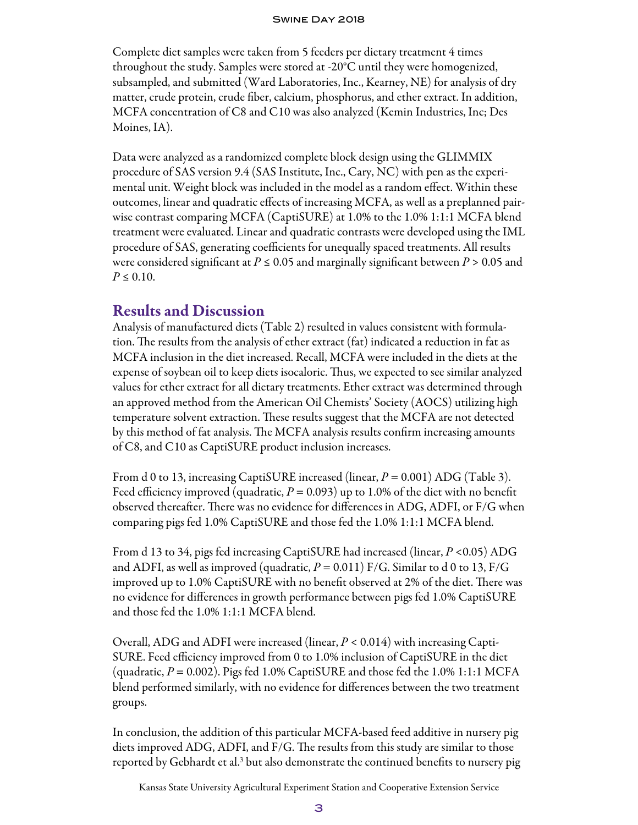### Swine Day 2018

Complete diet samples were taken from 5 feeders per dietary treatment 4 times throughout the study. Samples were stored at -20°C until they were homogenized, subsampled, and submitted (Ward Laboratories, Inc., Kearney, NE) for analysis of dry matter, crude protein, crude fiber, calcium, phosphorus, and ether extract. In addition, MCFA concentration of C8 and C10 was also analyzed (Kemin Industries, Inc; Des Moines, IA).

Data were analyzed as a randomized complete block design using the GLIMMIX procedure of SAS version 9.4 (SAS Institute, Inc., Cary, NC) with pen as the experimental unit. Weight block was included in the model as a random effect. Within these outcomes, linear and quadratic effects of increasing MCFA, as well as a preplanned pairwise contrast comparing MCFA (CaptiSURE) at 1.0% to the 1.0% 1:1:1 MCFA blend treatment were evaluated. Linear and quadratic contrasts were developed using the IML procedure of SAS, generating coefficients for unequally spaced treatments. All results were considered significant at  $P \le 0.05$  and marginally significant between  $P > 0.05$  and  $P \le 0.10$ .

## Results and Discussion

Analysis of manufactured diets (Table 2) resulted in values consistent with formulation. The results from the analysis of ether extract (fat) indicated a reduction in fat as MCFA inclusion in the diet increased. Recall, MCFA were included in the diets at the expense of soybean oil to keep diets isocaloric. Thus, we expected to see similar analyzed values for ether extract for all dietary treatments. Ether extract was determined through an approved method from the American Oil Chemists' Society (AOCS) utilizing high temperature solvent extraction. These results suggest that the MCFA are not detected by this method of fat analysis. The MCFA analysis results confirm increasing amounts of C8, and C10 as CaptiSURE product inclusion increases.

From d 0 to 13, increasing CaptiSURE increased (linear,  $P = 0.001$ ) ADG (Table 3). Feed efficiency improved (quadratic,  $P = 0.093$ ) up to 1.0% of the diet with no benefit observed thereafter. There was no evidence for differences in ADG, ADFI, or F/G when comparing pigs fed 1.0% CaptiSURE and those fed the 1.0% 1:1:1 MCFA blend.

From d 13 to 34, pigs fed increasing CaptiSURE had increased (linear, *P* <0.05) ADG and ADFI, as well as improved (quadratic,  $P = 0.011$ ) F/G. Similar to d 0 to 13, F/G improved up to 1.0% CaptiSURE with no benefit observed at 2% of the diet. There was no evidence for differences in growth performance between pigs fed 1.0% CaptiSURE and those fed the 1.0% 1:1:1 MCFA blend.

Overall, ADG and ADFI were increased (linear, *P* < 0.014) with increasing Capti-SURE. Feed efficiency improved from 0 to 1.0% inclusion of CaptiSURE in the diet (quadratic,  $P = 0.002$ ). Pigs fed 1.0% CaptiSURE and those fed the 1.0% 1:1:1 MCFA blend performed similarly, with no evidence for differences between the two treatment groups.

In conclusion, the addition of this particular MCFA-based feed additive in nursery pig diets improved ADG, ADFI, and F/G. The results from this study are similar to those reported by Gebhardt et al.<sup>3</sup> but also demonstrate the continued benefits to nursery pig

Kansas State University Agricultural Experiment Station and Cooperative Extension Service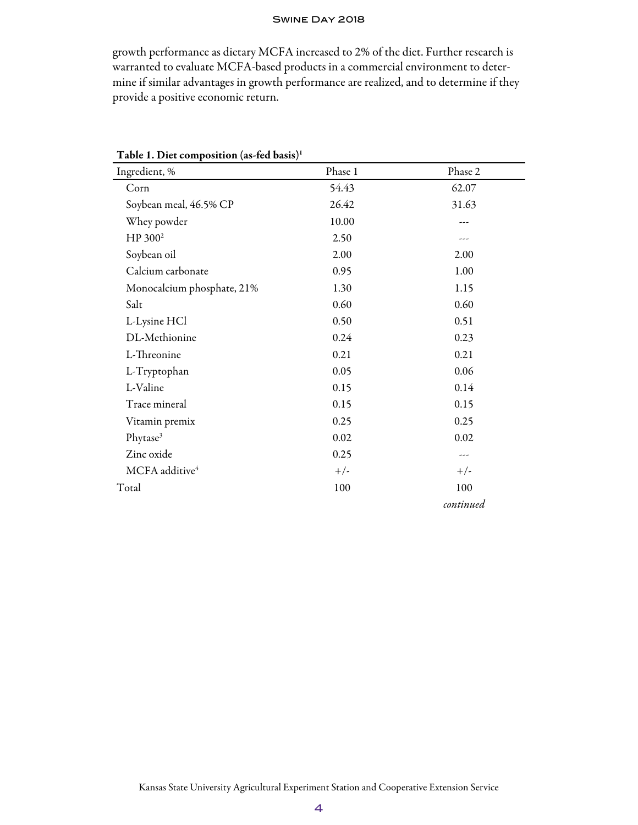#### Swine Day 2018

growth performance as dietary MCFA increased to 2% of the diet. Further research is warranted to evaluate MCFA-based products in a commercial environment to determine if similar advantages in growth performance are realized, and to determine if they provide a positive economic return.

| Ingredient, %              | Phase 1 | Phase 2   |  |  |
|----------------------------|---------|-----------|--|--|
| Corn                       | 54.43   | 62.07     |  |  |
| Soybean meal, 46.5% CP     | 26.42   | 31.63     |  |  |
| Whey powder                | 10.00   | ---       |  |  |
| HP 300 <sup>2</sup>        | 2.50    | ---       |  |  |
| Soybean oil                | 2.00    | 2.00      |  |  |
| Calcium carbonate          | 0.95    | 1.00      |  |  |
| Monocalcium phosphate, 21% | 1.30    | 1.15      |  |  |
| Salt                       | 0.60    | 0.60      |  |  |
| L-Lysine HCl               | 0.50    | 0.51      |  |  |
| DL-Methionine              | 0.24    | 0.23      |  |  |
| L-Threonine                | 0.21    | 0.21      |  |  |
| L-Tryptophan               | 0.05    | 0.06      |  |  |
| L-Valine                   | 0.15    | 0.14      |  |  |
| Trace mineral              | 0.15    | 0.15      |  |  |
| Vitamin premix             | 0.25    | 0.25      |  |  |
| Phytase <sup>3</sup>       | 0.02    | 0.02      |  |  |
| Zinc oxide                 | 0.25    |           |  |  |
| MCFA additive <sup>4</sup> | $+/-$   | $+/-$     |  |  |
| Total                      | 100     | 100       |  |  |
|                            |         | continued |  |  |

Table 1. Diet composition (as-fed basis)1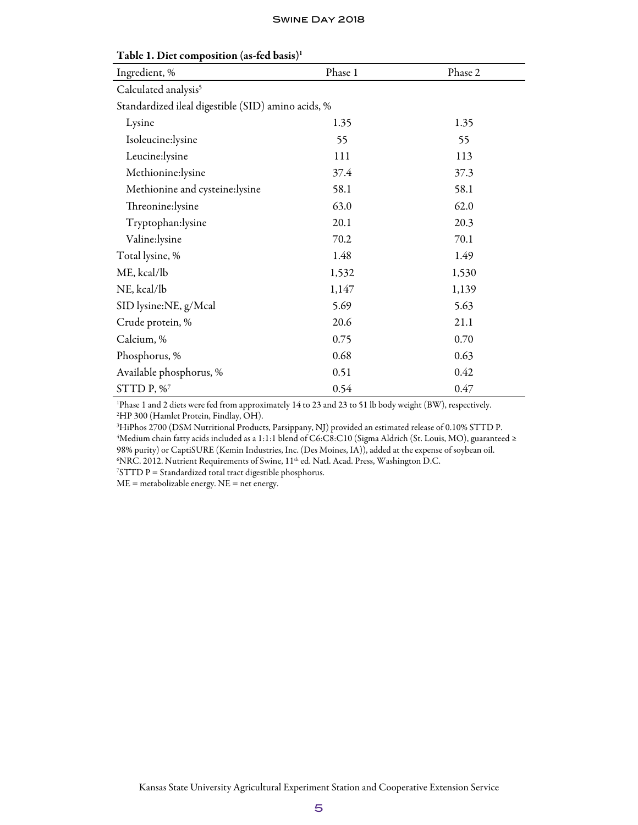| Ingredient, %                                      | Phase 1 | Phase 2 |  |  |  |  |  |
|----------------------------------------------------|---------|---------|--|--|--|--|--|
| Calculated analysis <sup>5</sup>                   |         |         |  |  |  |  |  |
| Standardized ileal digestible (SID) amino acids, % |         |         |  |  |  |  |  |
| Lysine                                             | 1.35    | 1.35    |  |  |  |  |  |
| Isoleucine:lysine                                  | 55      | 55      |  |  |  |  |  |
| Leucine:lysine                                     | 111     | 113     |  |  |  |  |  |
| Methionine:lysine                                  | 37.4    | 37.3    |  |  |  |  |  |
| Methionine and cysteine:lysine                     | 58.1    | 58.1    |  |  |  |  |  |
| Threonine:lysine                                   | 63.0    | 62.0    |  |  |  |  |  |
| Tryptophan:lysine                                  | 20.1    | 20.3    |  |  |  |  |  |
| Valine:lysine                                      | 70.2    | 70.1    |  |  |  |  |  |
| Total lysine, %                                    | 1.48    | 1.49    |  |  |  |  |  |
| ME, kcal/lb                                        | 1,532   | 1,530   |  |  |  |  |  |
| NE, kcal/lb                                        | 1,147   | 1,139   |  |  |  |  |  |
| SID lysine:NE, g/Mcal                              | 5.69    | 5.63    |  |  |  |  |  |
| Crude protein, %                                   | 20.6    | 21.1    |  |  |  |  |  |
| Calcium, %                                         | 0.75    | 0.70    |  |  |  |  |  |
| Phosphorus, %                                      | 0.68    | 0.63    |  |  |  |  |  |
| Available phosphorus, %                            | 0.51    | 0.42    |  |  |  |  |  |
| STTD $P, \%$                                       | 0.54    | 0.47    |  |  |  |  |  |

### Table 1. Diet composition (as-fed basis)1

1 Phase 1 and 2 diets were fed from approximately 14 to 23 and 23 to 51 lb body weight (BW), respectively. 2 HP 300 (Hamlet Protein, Findlay, OH).

 HiPhos 2700 (DSM Nutritional Products, Parsippany, NJ) provided an estimated release of 0.10% STTD P. Medium chain fatty acids included as a 1:1:1 blend of C6:C8:C10 (Sigma Aldrich (St. Louis, MO), guaranteed ≥ 98% purity) or CaptiSURE (Kemin Industries, Inc. (Des Moines, IA)), added at the expense of soybean oil. NRC. 2012. Nutrient Requirements of Swine, 11th ed. Natl. Acad. Press, Washington D.C. 7

 $7STTD$  P = Standardized total tract digestible phosphorus.

ME = metabolizable energy. NE = net energy.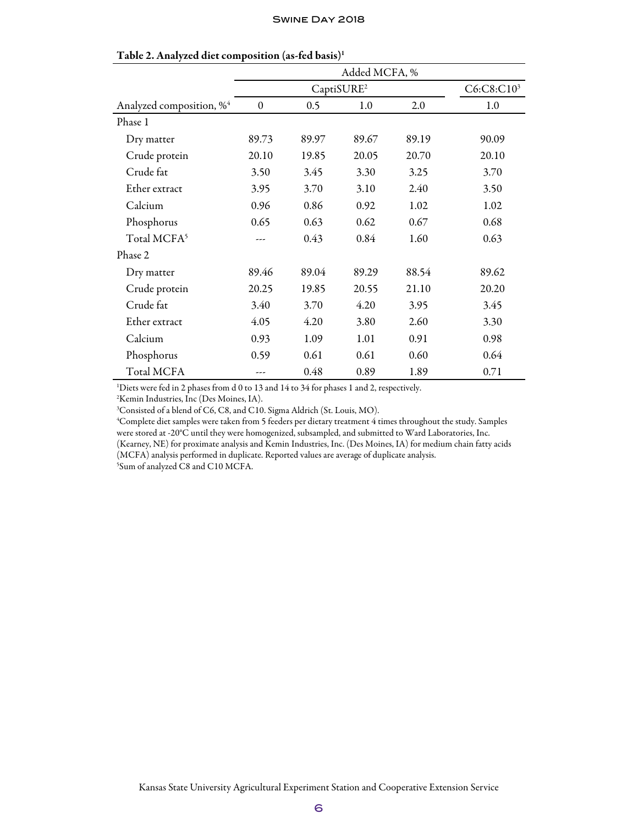|                                      | Added MCFA, %    |                        |       |       |       |  |
|--------------------------------------|------------------|------------------------|-------|-------|-------|--|
|                                      |                  | C6:C8:C10 <sup>3</sup> |       |       |       |  |
| Analyzed composition, % <sup>4</sup> | $\boldsymbol{0}$ | 0.5                    | 1.0   | 2.0   | 1.0   |  |
| Phase 1                              |                  |                        |       |       |       |  |
| Dry matter                           | 89.73            | 89.97                  | 89.67 | 89.19 | 90.09 |  |
| Crude protein                        | 20.10            | 19.85                  | 20.05 | 20.70 | 20.10 |  |
| Crude fat                            | 3.50             | 3.45                   | 3.30  | 3.25  | 3.70  |  |
| Ether extract                        | 3.95             | 3.70                   | 3.10  | 2.40  | 3.50  |  |
| Calcium                              | 0.96             | 0.86                   | 0.92  | 1.02  | 1.02  |  |
| Phosphorus                           | 0.65             | 0.63                   | 0.62  | 0.67  | 0.68  |  |
| Total MCFA <sup>5</sup>              |                  | 0.43                   | 0.84  | 1.60  | 0.63  |  |
| Phase 2                              |                  |                        |       |       |       |  |
| Dry matter                           | 89.46            | 89.04                  | 89.29 | 88.54 | 89.62 |  |
| Crude protein                        | 20.25            | 19.85                  | 20.55 | 21.10 | 20.20 |  |
| Crude fat                            | 3.40             | 3.70                   | 4.20  | 3.95  | 3.45  |  |
| Ether extract                        | 4.05             | 4.20                   | 3.80  | 2.60  | 3.30  |  |
| Calcium                              | 0.93             | 1.09                   | 1.01  | 0.91  | 0.98  |  |
| Phosphorus                           | 0.59             | 0.61                   | 0.61  | 0.60  | 0.64  |  |
| Total MCFA                           |                  | 0.48                   | 0.89  | 1.89  | 0.71  |  |

#### Table 2. Analyzed diet composition (as-fed basis)1

1 Diets were fed in 2 phases from d 0 to 13 and 14 to 34 for phases 1 and 2, respectively.

2 Kemin Industries, Inc (Des Moines, IA).

3 Consisted of a blend of C6, C8, and C10. Sigma Aldrich (St. Louis, MO).

4 Complete diet samples were taken from 5 feeders per dietary treatment 4 times throughout the study. Samples were stored at -20°C until they were homogenized, subsampled, and submitted to Ward Laboratories, Inc. (Kearney, NE) for proximate analysis and Kemin Industries, Inc. (Des Moines, IA) for medium chain fatty acids (MCFA) analysis performed in duplicate. Reported values are average of duplicate analysis.

5 Sum of analyzed C8 and C10 MCFA.